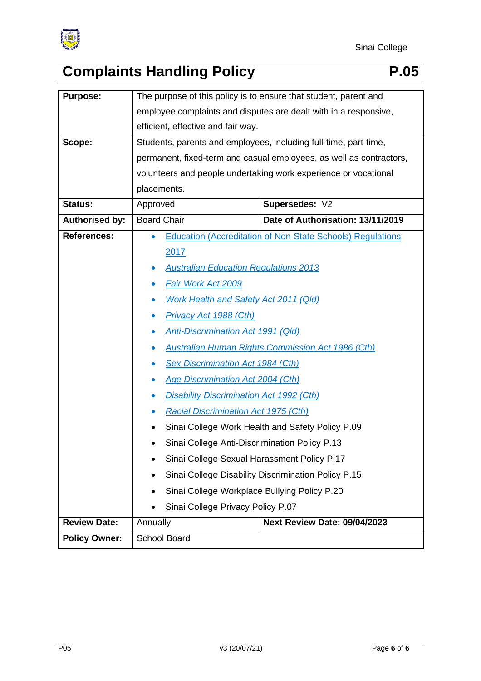

| <b>Purpose:</b>       | The purpose of this policy is to ensure that student, parent and    |                                                                   |
|-----------------------|---------------------------------------------------------------------|-------------------------------------------------------------------|
|                       | employee complaints and disputes are dealt with in a responsive,    |                                                                   |
|                       | efficient, effective and fair way.                                  |                                                                   |
| Scope:                | Students, parents and employees, including full-time, part-time,    |                                                                   |
|                       | permanent, fixed-term and casual employees, as well as contractors, |                                                                   |
|                       | volunteers and people undertaking work experience or vocational     |                                                                   |
|                       | placements.                                                         |                                                                   |
| <b>Status:</b>        | Approved                                                            | Supersedes: V2                                                    |
| <b>Authorised by:</b> | <b>Board Chair</b>                                                  | Date of Authorisation: 13/11/2019                                 |
| <b>References:</b>    |                                                                     | <b>Education (Accreditation of Non-State Schools) Regulations</b> |
|                       | 2017                                                                |                                                                   |
|                       | <b>Australian Education Regulations 2013</b><br>$\bullet$           |                                                                   |
|                       | Fair Work Act 2009                                                  |                                                                   |
|                       | <b>Work Health and Safety Act 2011 (Qld)</b>                        |                                                                   |
|                       | <b>Privacy Act 1988 (Cth)</b><br>$\bullet$                          |                                                                   |
|                       | <b>Anti-Discrimination Act 1991 (Qld)</b>                           |                                                                   |
|                       | <b>Australian Human Rights Commission Act 1986 (Cth)</b>            |                                                                   |
|                       | <b>Sex Discrimination Act 1984 (Cth)</b>                            |                                                                   |
|                       | <b>Age Discrimination Act 2004 (Cth)</b>                            |                                                                   |
|                       | <b>Disability Discrimination Act 1992 (Cth)</b>                     |                                                                   |
|                       | <b>Racial Discrimination Act 1975 (Cth)</b>                         |                                                                   |
|                       | Sinai College Work Health and Safety Policy P.09                    |                                                                   |
|                       | Sinai College Anti-Discrimination Policy P.13                       |                                                                   |
|                       | Sinai College Sexual Harassment Policy P.17<br>٠                    |                                                                   |
|                       | Sinai College Disability Discrimination Policy P.15                 |                                                                   |
|                       | Sinai College Workplace Bullying Policy P.20                        |                                                                   |
|                       | Sinai College Privacy Policy P.07                                   |                                                                   |
| <b>Review Date:</b>   | Annually                                                            | <b>Next Review Date: 09/04/2023</b>                               |
| <b>Policy Owner:</b>  | School Board                                                        |                                                                   |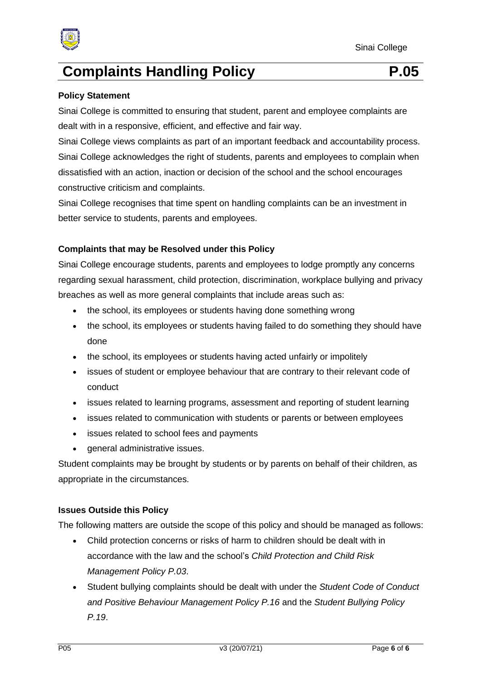

#### **Policy Statement**

Sinai College is committed to ensuring that student, parent and employee complaints are dealt with in a responsive, efficient, and effective and fair way.

Sinai College views complaints as part of an important feedback and accountability process. Sinai College acknowledges the right of students, parents and employees to complain when dissatisfied with an action, inaction or decision of the school and the school encourages constructive criticism and complaints.

Sinai College recognises that time spent on handling complaints can be an investment in better service to students, parents and employees.

### **Complaints that may be Resolved under this Policy**

Sinai College encourage students, parents and employees to lodge promptly any concerns regarding sexual harassment, child protection, discrimination, workplace bullying and privacy breaches as well as more general complaints that include areas such as:

- the school, its employees or students having done something wrong
- the school, its employees or students having failed to do something they should have done
- the school, its employees or students having acted unfairly or impolitely
- issues of student or employee behaviour that are contrary to their relevant code of conduct
- issues related to learning programs, assessment and reporting of student learning
- issues related to communication with students or parents or between employees
- issues related to school fees and payments
- general administrative issues.

Student complaints may be brought by students or by parents on behalf of their children, as appropriate in the circumstances.

#### **Issues Outside this Policy**

The following matters are outside the scope of this policy and should be managed as follows:

- Child protection concerns or risks of harm to children should be dealt with in accordance with the law and the school's *Child Protection and Child Risk Management Policy P.03*.
- Student bullying complaints should be dealt with under the *Student Code of Conduct and Positive Behaviour Management Policy P.16* and the *Student Bullying Policy P.19*.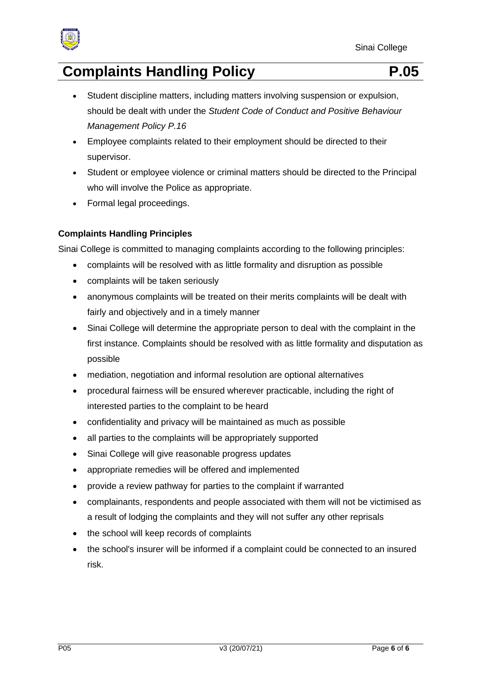

- Student discipline matters, including matters involving suspension or expulsion, should be dealt with under the *Student Code of Conduct and Positive Behaviour Management Policy P.16*
- Employee complaints related to their employment should be directed to their supervisor.
- Student or employee violence or criminal matters should be directed to the Principal who will involve the Police as appropriate.
- Formal legal proceedings.

# **Complaints Handling Principles**

Sinai College is committed to managing complaints according to the following principles:

- complaints will be resolved with as little formality and disruption as possible
- complaints will be taken seriously
- anonymous complaints will be treated on their merits complaints will be dealt with fairly and objectively and in a timely manner
- Sinai College will determine the appropriate person to deal with the complaint in the first instance. Complaints should be resolved with as little formality and disputation as possible
- mediation, negotiation and informal resolution are optional alternatives
- procedural fairness will be ensured wherever practicable, including the right of interested parties to the complaint to be heard
- confidentiality and privacy will be maintained as much as possible
- all parties to the complaints will be appropriately supported
- Sinai College will give reasonable progress updates
- appropriate remedies will be offered and implemented
- provide a review pathway for parties to the complaint if warranted
- complainants, respondents and people associated with them will not be victimised as a result of lodging the complaints and they will not suffer any other reprisals
- the school will keep records of complaints
- the school's insurer will be informed if a complaint could be connected to an insured risk.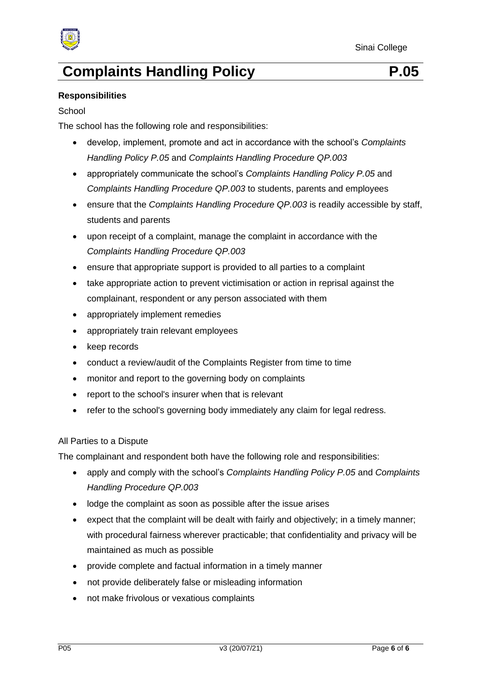

#### **Responsibilities**

#### **School**

The school has the following role and responsibilities:

- develop, implement, promote and act in accordance with the school's *Complaints Handling Policy P.05* and *Complaints Handling Procedure QP.003*
- appropriately communicate the school's *Complaints Handling Policy P.05* and *Complaints Handling Procedure QP.003* to students, parents and employees
- ensure that the *Complaints Handling Procedure QP.003* is readily accessible by staff, students and parents
- upon receipt of a complaint, manage the complaint in accordance with the *Complaints Handling Procedure QP.003*
- ensure that appropriate support is provided to all parties to a complaint
- take appropriate action to prevent victimisation or action in reprisal against the complainant, respondent or any person associated with them
- appropriately implement remedies
- appropriately train relevant employees
- keep records
- conduct a review/audit of the Complaints Register from time to time
- monitor and report to the governing body on complaints
- report to the school's insurer when that is relevant
- refer to the school's governing body immediately any claim for legal redress.

#### All Parties to a Dispute

The complainant and respondent both have the following role and responsibilities:

- apply and comply with the school's *Complaints Handling Policy P.05* and *Complaints Handling Procedure QP.003*
- lodge the complaint as soon as possible after the issue arises
- expect that the complaint will be dealt with fairly and objectively; in a timely manner; with procedural fairness wherever practicable; that confidentiality and privacy will be maintained as much as possible
- provide complete and factual information in a timely manner
- not provide deliberately false or misleading information
- not make frivolous or vexatious complaints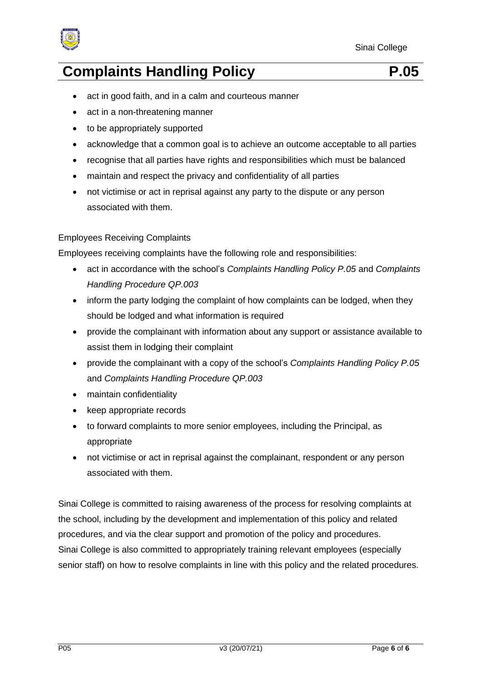

- act in good faith, and in a calm and courteous manner
- act in a non-threatening manner
- to be appropriately supported
- acknowledge that a common goal is to achieve an outcome acceptable to all parties
- recognise that all parties have rights and responsibilities which must be balanced
- maintain and respect the privacy and confidentiality of all parties
- not victimise or act in reprisal against any party to the dispute or any person associated with them.

### Employees Receiving Complaints

Employees receiving complaints have the following role and responsibilities:

- act in accordance with the school's *Complaints Handling Policy P.05* and *Complaints Handling Procedure QP.003*
- inform the party lodging the complaint of how complaints can be lodged, when they should be lodged and what information is required
- provide the complainant with information about any support or assistance available to assist them in lodging their complaint
- provide the complainant with a copy of the school's *Complaints Handling Policy P.05* and *Complaints Handling Procedure QP.003*
- maintain confidentiality
- keep appropriate records
- to forward complaints to more senior employees, including the Principal, as appropriate
- not victimise or act in reprisal against the complainant, respondent or any person associated with them.

Sinai College is committed to raising awareness of the process for resolving complaints at the school, including by the development and implementation of this policy and related procedures, and via the clear support and promotion of the policy and procedures. Sinai College is also committed to appropriately training relevant employees (especially senior staff) on how to resolve complaints in line with this policy and the related procedures.